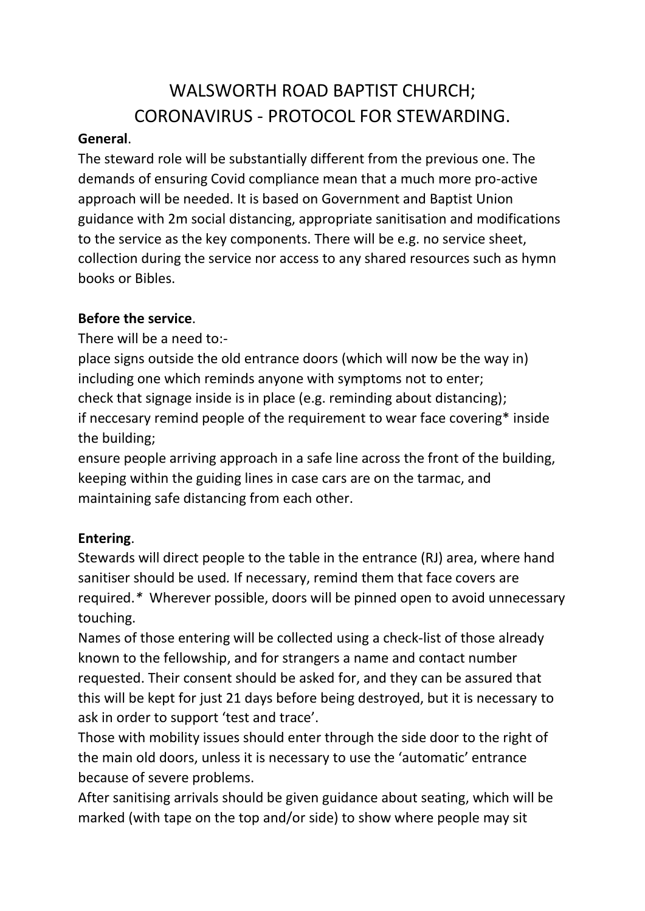# WALSWORTH ROAD BAPTIST CHURCH; CORONAVIRUS - PROTOCOL FOR STEWARDING.

#### **General**.

The steward role will be substantially different from the previous one. The demands of ensuring Covid compliance mean that a much more pro-active approach will be needed. It is based on Government and Baptist Union guidance with 2m social distancing, appropriate sanitisation and modifications to the service as the key components. There will be e.g. no service sheet, collection during the service nor access to any shared resources such as hymn books or Bibles.

# **Before the service**.

There will be a need to:-

place signs outside the old entrance doors (which will now be the way in) including one which reminds anyone with symptoms not to enter; check that signage inside is in place (e.g. reminding about distancing); if neccesary remind people of the requirement to wear face covering\* inside the building;

ensure people arriving approach in a safe line across the front of the building, keeping within the guiding lines in case cars are on the tarmac, and maintaining safe distancing from each other.

# **Entering**.

Stewards will direct people to the table in the entrance (RJ) area, where hand sanitiser should be used*.* If necessary, remind them that face covers are required.*\** Wherever possible, doors will be pinned open to avoid unnecessary touching.

Names of those entering will be collected using a check-list of those already known to the fellowship, and for strangers a name and contact number requested. Their consent should be asked for, and they can be assured that this will be kept for just 21 days before being destroyed, but it is necessary to ask in order to support 'test and trace'.

Those with mobility issues should enter through the side door to the right of the main old doors, unless it is necessary to use the 'automatic' entrance because of severe problems.

After sanitising arrivals should be given guidance about seating, which will be marked (with tape on the top and/or side) to show where people may sit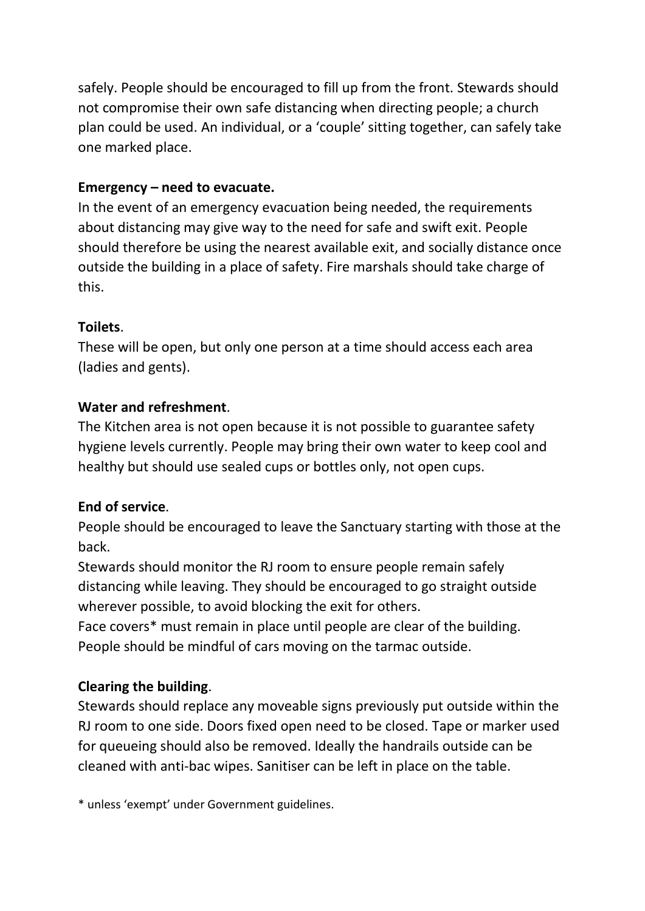safely. People should be encouraged to fill up from the front. Stewards should not compromise their own safe distancing when directing people; a church plan could be used. An individual, or a 'couple' sitting together, can safely take one marked place.

#### **Emergency – need to evacuate.**

In the event of an emergency evacuation being needed, the requirements about distancing may give way to the need for safe and swift exit. People should therefore be using the nearest available exit, and socially distance once outside the building in a place of safety. Fire marshals should take charge of this.

#### **Toilets**.

These will be open, but only one person at a time should access each area (ladies and gents).

# **Water and refreshment**.

The Kitchen area is not open because it is not possible to guarantee safety hygiene levels currently. People may bring their own water to keep cool and healthy but should use sealed cups or bottles only, not open cups.

# **End of service**.

People should be encouraged to leave the Sanctuary starting with those at the back.

Stewards should monitor the RJ room to ensure people remain safely distancing while leaving. They should be encouraged to go straight outside wherever possible, to avoid blocking the exit for others.

Face covers\* must remain in place until people are clear of the building. People should be mindful of cars moving on the tarmac outside.

# **Clearing the building**.

Stewards should replace any moveable signs previously put outside within the RJ room to one side. Doors fixed open need to be closed. Tape or marker used for queueing should also be removed. Ideally the handrails outside can be cleaned with anti-bac wipes. Sanitiser can be left in place on the table.

\* unless 'exempt' under Government guidelines.